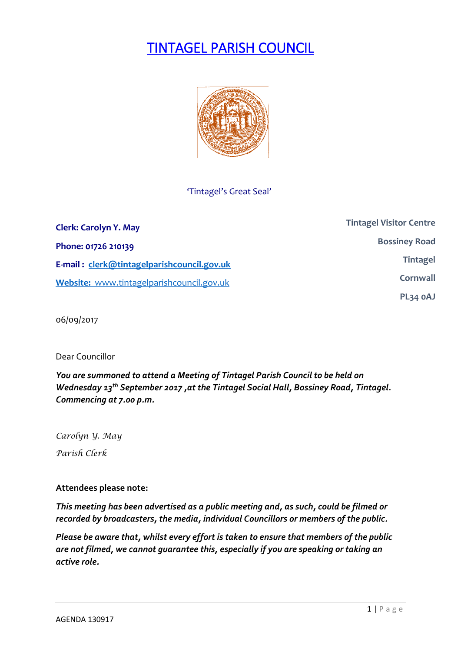# TINTAGEL PARISH COUNCIL



## 'Tintagel's Great Seal'

| <b>Clerk: Carolyn Y. May</b>               | <b>Tintagel Visitor Centre</b> |
|--------------------------------------------|--------------------------------|
| Phone: 01726 210139                        | <b>Bossiney Road</b>           |
| E-mail: clerk@tintagelparishcouncil.gov.uk | <b>Tintagel</b>                |
| Website: www.tintagelparishcouncil.gov.uk  | Cornwall                       |
|                                            | PL34 OAJ                       |

06/09/2017

Dear Councillor

*You are summoned to attend a Meeting of Tintagel Parish Council to be held on Wednesday 13th September 2017 ,at the Tintagel Social Hall, Bossiney Road, Tintagel. Commencing at 7.00 p.m.* 

*Carolyn Y. May Parish Clerk*

## **Attendees please note:**

*This meeting has been advertised as a public meeting and, as such, could be filmed or recorded by broadcasters, the media, individual Councillors or members of the public.*

*Please be aware that, whilst every effort is taken to ensure that members of the public are not filmed, we cannot guarantee this, especially if you are speaking or taking an active role.*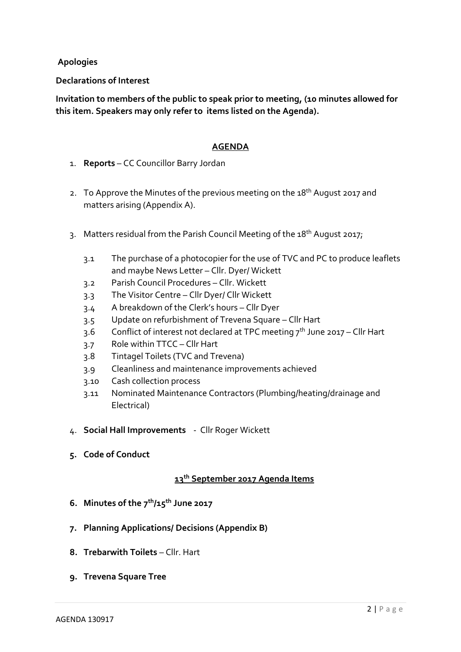**Apologies**

**Declarations of Interest**

**Invitation to members of the public to speak prior to meeting, (10 minutes allowed for this item. Speakers may only refer to items listed on the Agenda).**

#### **AGENDA**

- 1. **Reports** CC Councillor Barry Jordan
- 2. To Approve the Minutes of the previous meeting on the 18<sup>th</sup> August 2017 and matters arising (Appendix A).
- 3. Matters residual from the Parish Council Meeting of the 18<sup>th</sup> August 2017;
	- 3.1 The purchase of a photocopier for the use of TVC and PC to produce leaflets and maybe News Letter – Cllr. Dyer/ Wickett
	- 3.2 Parish Council Procedures Cllr. Wickett
	- 3.3 The Visitor Centre Cllr Dyer/ Cllr Wickett
	- 3.4 A breakdown of the Clerk's hours Cllr Dyer
	- 3.5 Update on refurbishment of Trevena Square Cllr Hart
	- 3.6 Conflict of interest not declared at TPC meeting  $7<sup>th</sup>$  June 2017 Cllr Hart
	- 3.7 Role within TTCC Cllr Hart
	- 3.8 Tintagel Toilets (TVC and Trevena)
	- 3.9 Cleanliness and maintenance improvements achieved
	- 3.10 Cash collection process
	- 3.11 Nominated Maintenance Contractors (Plumbing/heating/drainage and Electrical)
- 4. **Social Hall Improvements** Cllr Roger Wickett
- **5. Code of Conduct**

## **13th September 2017 Agenda Items**

- **6. Minutes of the 7 th/15th June 2017**
- **7. Planning Applications/ Decisions (Appendix B)**
- **8. Trebarwith Toilets Cllr. Hart**
- **9. Trevena Square Tree**